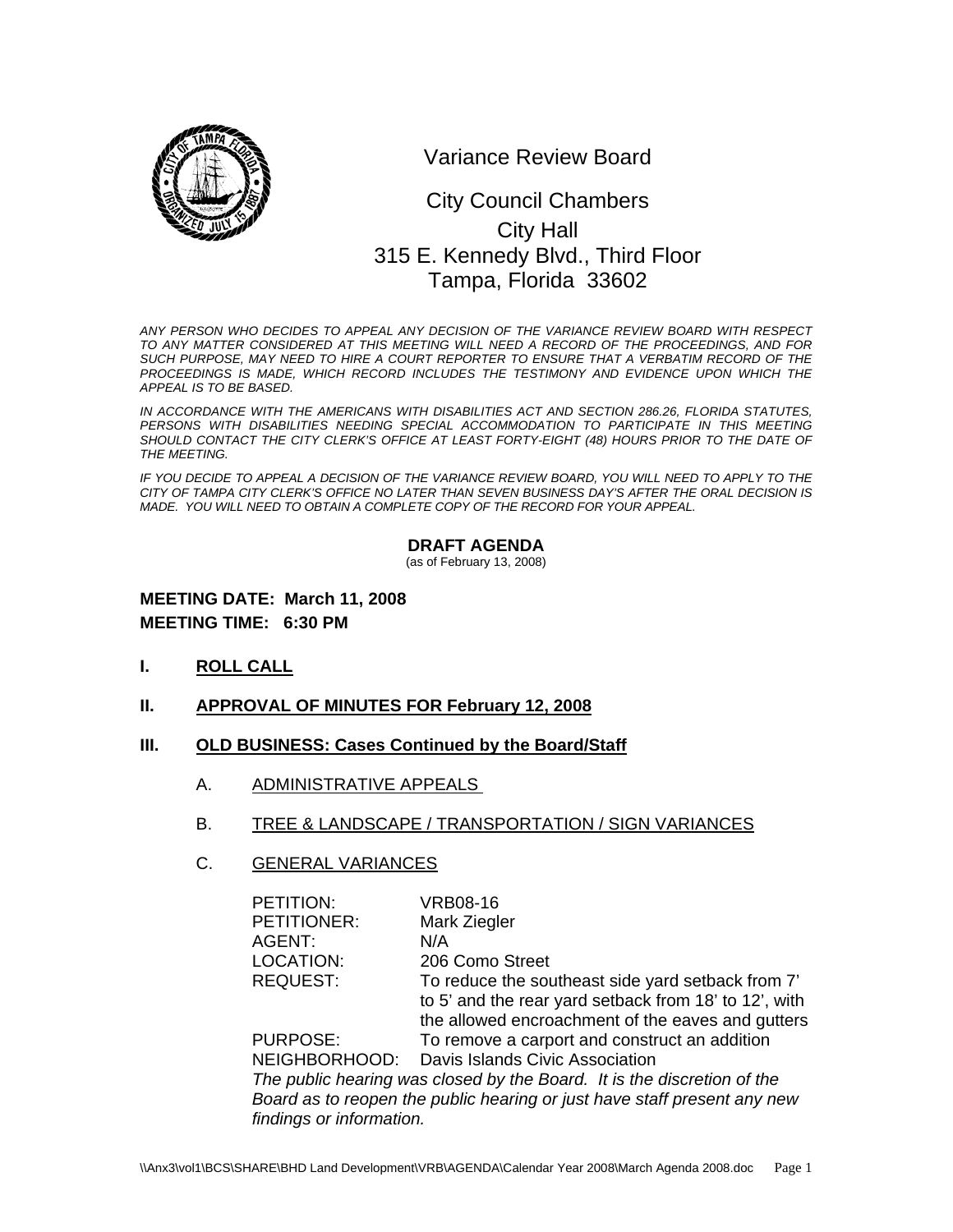

Variance Review Board

# 0 315 E. Kennedy Blvd., Third Floor City Council Chambers City Hall Tampa, Florida 33602

*ANY PERSON WHO DECIDES TO APPEAL ANY DECISION OF THE VARIANCE REVIEW BOARD WITH RESPECT TO ANY MATTER CONSIDERED AT THIS MEETING WILL NEED A RECORD OF THE PROCEEDINGS, AND FOR SUCH PURPOSE, MAY NEED TO HIRE A COURT REPORTER TO ENSURE THAT A VERBATIM RECORD OF THE*  PROCEEDINGS IS MADE, WHICH RECORD INCLUDES THE TESTIMONY AND EVIDENCE UPON WHICH THE *APPEAL IS TO BE BASED.* 

*IN ACCORDANCE WITH THE AMERICANS WITH DISABILITIES ACT AND SECTION 286.26, FLORIDA STATUTES, PERSONS WITH DISABILITIES NEEDING SPECIAL ACCOMMODATION TO PARTICIPATE IN THIS MEETING*  SHOULD CONTACT THE CITY CLERK'S OFFICE AT LEAST FORTY-EIGHT (48) HOURS PRIOR TO THE DATE OF *THE MEETING.* 

*IF YOU DECIDE TO APPEAL A DECISION OF THE VARIANCE REVIEW BOARD, YOU WILL NEED TO APPLY TO THE CITY OF TAMPA CITY CLERK'S OFFICE NO LATER THAN SEVEN BUSINESS DAY'S AFTER THE ORAL DECISION IS MADE. YOU WILL NEED TO OBTAIN A COMPLETE COPY OF THE RECORD FOR YOUR APPEAL.* 

#### **DRAFT AGENDA**

(as of February 13, 2008)

### **MEETING DATE: March 11, 2008 MEETING TIME: 6:30 PM**

- **I. ROLL CALL**
- **II. APPROVAL OF MINUTES FOR February 12, 2008**

#### **III. OLD BUSINESS: Cases Continued by the Board/Staff**

- A. ADMINISTRATIVE APPEALS
- B. TREE & LANDSCAPE / TRANSPORTATION / SIGN VARIANCES

#### C. GENERAL VARIANCES

| PETITION:                | <b>VRB08-16</b>                                                          |
|--------------------------|--------------------------------------------------------------------------|
| PETITIONER:              | Mark Ziegler                                                             |
| AGENT:                   | N/A                                                                      |
| LOCATION:                | 206 Como Street                                                          |
| <b>REQUEST:</b>          | To reduce the southeast side yard setback from 7'                        |
|                          | to 5' and the rear yard setback from 18' to 12', with                    |
|                          | the allowed encroachment of the eaves and gutters                        |
| <b>PURPOSE:</b>          | To remove a carport and construct an addition                            |
|                          | NEIGHBORHOOD: Davis Islands Civic Association                            |
|                          | The public hearing was closed by the Board. It is the discretion of the  |
|                          | Board as to reopen the public hearing or just have staff present any new |
| findings or information. |                                                                          |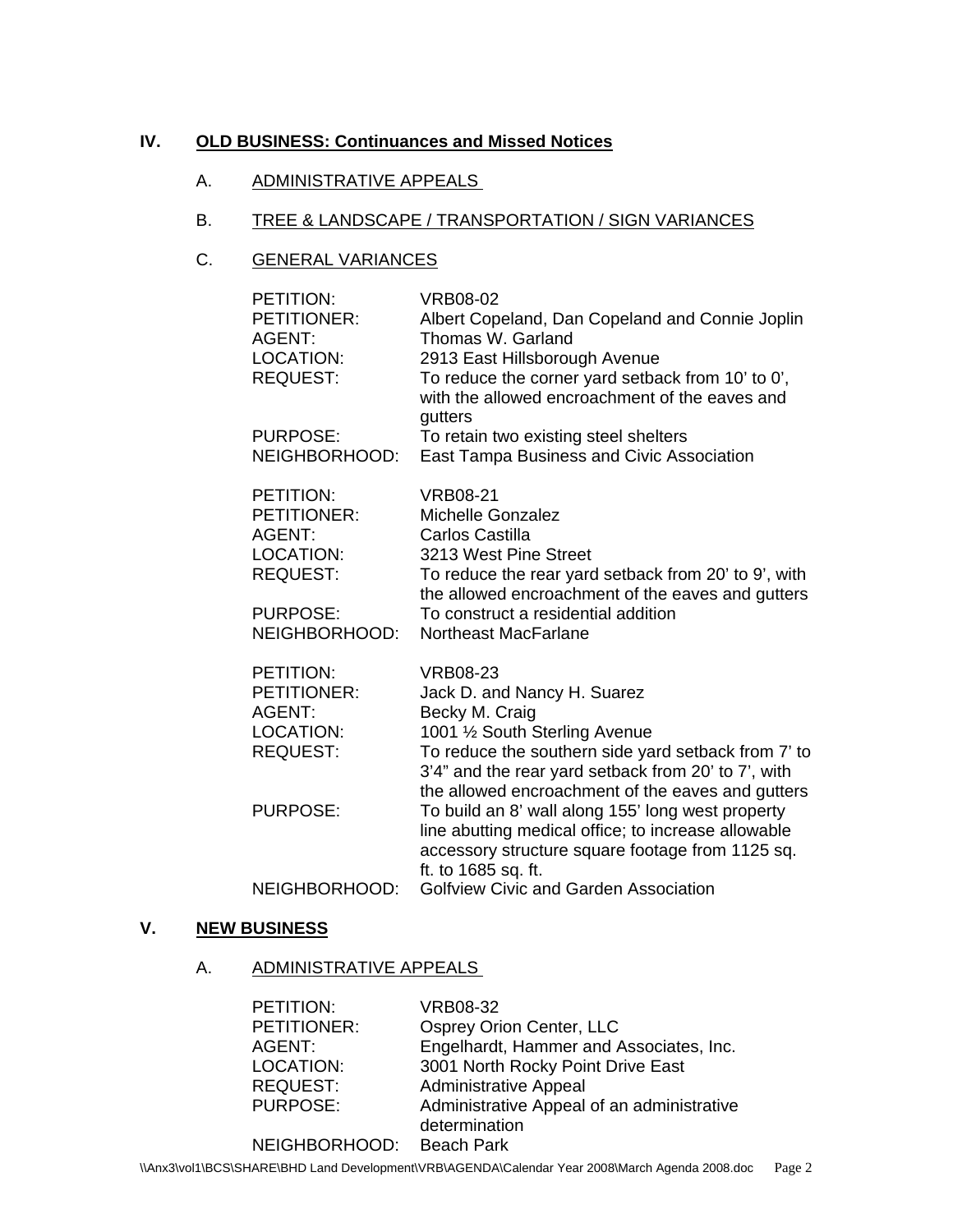#### **IV. OLD BUSINESS: Continuances and Missed Notices**

### A. ADMINISTRATIVE APPEALS

### B. TREE & LANDSCAPE / TRANSPORTATION / SIGN VARIANCES

# C. GENERAL VARIANCES

| PETITION:<br>PETITIONER:<br><b>AGENT:</b><br>LOCATION:<br><b>REQUEST:</b>        | <b>VRB08-02</b><br>Albert Copeland, Dan Copeland and Connie Joplin<br>Thomas W. Garland<br>2913 East Hillsborough Avenue<br>To reduce the corner yard setback from 10' to 0',<br>with the allowed encroachment of the eaves and<br>gutters                            |
|----------------------------------------------------------------------------------|-----------------------------------------------------------------------------------------------------------------------------------------------------------------------------------------------------------------------------------------------------------------------|
| <b>PURPOSE:</b><br>NEIGHBORHOOD:                                                 | To retain two existing steel shelters<br>East Tampa Business and Civic Association                                                                                                                                                                                    |
| PETITION:<br>PETITIONER:<br><b>AGENT:</b><br><b>LOCATION:</b><br><b>REQUEST:</b> | <b>VRB08-21</b><br><b>Michelle Gonzalez</b><br>Carlos Castilla<br>3213 West Pine Street<br>To reduce the rear yard setback from 20' to 9', with<br>the allowed encroachment of the eaves and gutters                                                                  |
| <b>PURPOSE:</b><br>NEIGHBORHOOD:                                                 | To construct a residential addition<br>Northeast MacFarlane                                                                                                                                                                                                           |
| PETITION:<br>PETITIONER:<br><b>AGENT:</b><br>LOCATION:<br><b>REQUEST:</b>        | <b>VRB08-23</b><br>Jack D. and Nancy H. Suarez<br>Becky M. Craig<br>1001 1/2 South Sterling Avenue<br>To reduce the southern side yard setback from 7' to<br>3'4" and the rear yard setback from 20' to 7', with<br>the allowed encroachment of the eaves and gutters |
| <b>PURPOSE:</b>                                                                  | To build an 8' wall along 155' long west property<br>line abutting medical office; to increase allowable<br>accessory structure square footage from 1125 sq.<br>ft. to 1685 sq. ft.                                                                                   |
| NEIGHBORHOOD:                                                                    | <b>Golfview Civic and Garden Association</b>                                                                                                                                                                                                                          |

## **V. NEW BUSINESS**

### A. ADMINISTRATIVE APPEALS

| Engelhardt, Hammer and Associates, Inc.    |
|--------------------------------------------|
|                                            |
|                                            |
| Administrative Appeal of an administrative |
|                                            |
|                                            |
|                                            |

\\Anx3\vol1\BCS\SHARE\BHD Land Development\VRB\AGENDA\Calendar Year 2008\March Agenda 2008.doc Page 2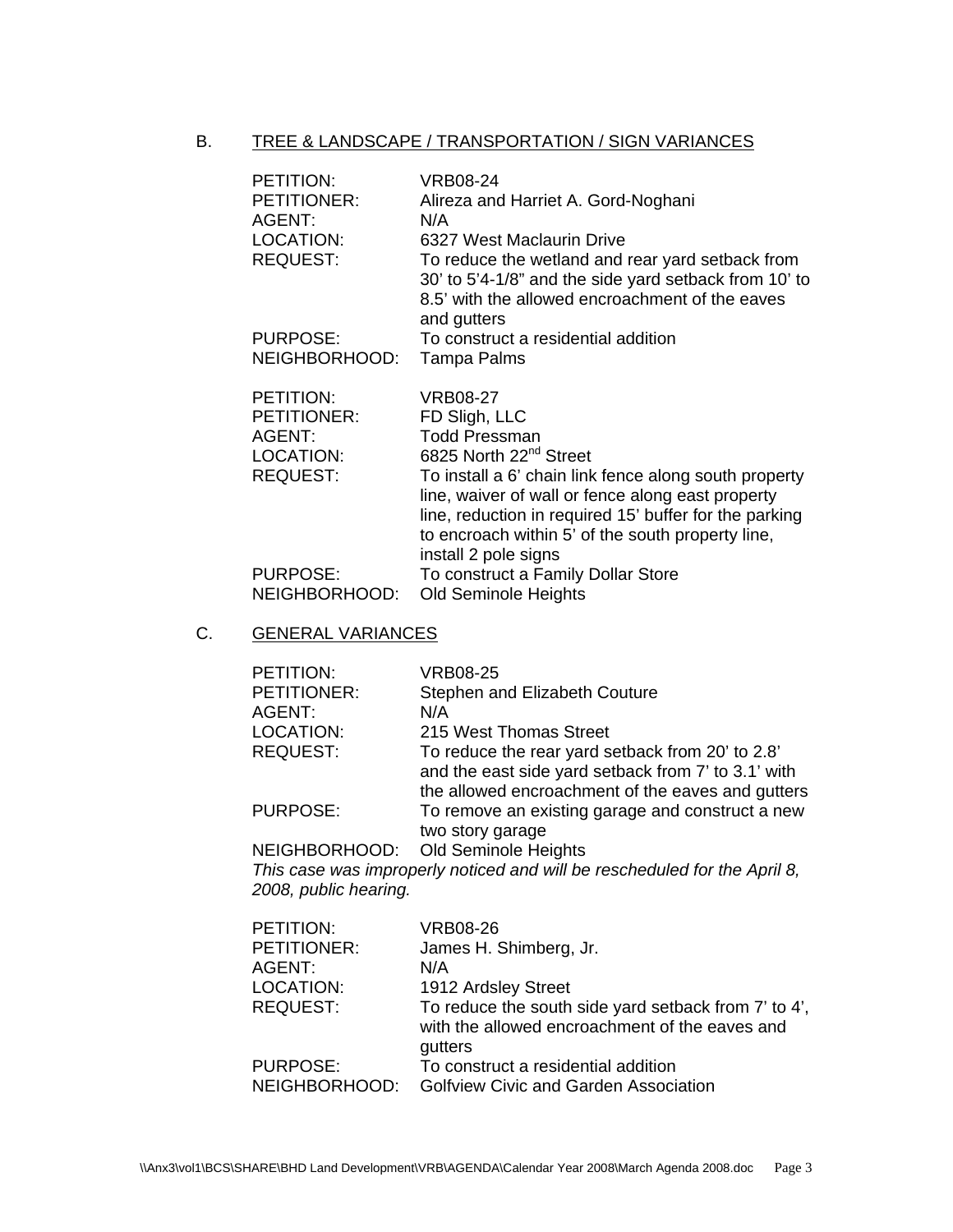### B. TREE & LANDSCAPE / TRANSPORTATION / SIGN VARIANCES

| PETITION:<br>PETITIONER:<br>AGENT:<br>LOCATION:<br><b>REQUEST:</b>        | <b>VRB08-24</b><br>Alireza and Harriet A. Gord-Noghani<br>N/A<br>6327 West Maclaurin Drive<br>To reduce the wetland and rear yard setback from<br>30' to 5'4-1/8" and the side yard setback from 10' to<br>8.5' with the allowed encroachment of the eaves<br>and gutters                                                                    |
|---------------------------------------------------------------------------|----------------------------------------------------------------------------------------------------------------------------------------------------------------------------------------------------------------------------------------------------------------------------------------------------------------------------------------------|
| PURPOSE:                                                                  | To construct a residential addition                                                                                                                                                                                                                                                                                                          |
| NEIGHBORHOOD:                                                             | Tampa Palms                                                                                                                                                                                                                                                                                                                                  |
| PETITION:<br>PETITIONER:<br><b>AGENT:</b><br>LOCATION:<br><b>REQUEST:</b> | VRB08-27<br>FD Sligh, LLC<br><b>Todd Pressman</b><br>6825 North 22 <sup>nd</sup> Street<br>To install a 6' chain link fence along south property<br>line, waiver of wall or fence along east property<br>line, reduction in required 15' buffer for the parking<br>to encroach within 5' of the south property line,<br>install 2 pole signs |
| <b>PURPOSE:</b><br>NEIGHBORHOOD:                                          | To construct a Family Dollar Store<br><b>Old Seminole Heights</b>                                                                                                                                                                                                                                                                            |

### C. GENERAL VARIANCES

| PETITION:                                                                            | <b>VRB08-25</b>                                     |  |
|--------------------------------------------------------------------------------------|-----------------------------------------------------|--|
| PETITIONER:                                                                          | Stephen and Elizabeth Couture                       |  |
| AGENT:                                                                               | N/A                                                 |  |
| LOCATION:                                                                            | 215 West Thomas Street                              |  |
| <b>REQUEST:</b>                                                                      | To reduce the rear yard setback from 20' to 2.8'    |  |
|                                                                                      | and the east side yard setback from 7' to 3.1' with |  |
|                                                                                      | the allowed encroachment of the eaves and gutters   |  |
| <b>PURPOSE:</b>                                                                      | To remove an existing garage and construct a new    |  |
|                                                                                      | two story garage                                    |  |
|                                                                                      | NEIGHBORHOOD: Old Seminole Heights                  |  |
| This sees west increased wether developed will be resolved deliver than $f_{\alpha}$ |                                                     |  |

*This case was improperly noticed and will be rescheduled for the April 8, 2008, public hearing.* 

| <b>VRB08-26</b>                                                                                                   |
|-------------------------------------------------------------------------------------------------------------------|
| James H. Shimberg, Jr.                                                                                            |
| N/A                                                                                                               |
| 1912 Ardsley Street                                                                                               |
| To reduce the south side yard setback from 7' to 4',<br>with the allowed encroachment of the eaves and<br>gutters |
| To construct a residential addition                                                                               |
| <b>Golfview Civic and Garden Association</b>                                                                      |
|                                                                                                                   |